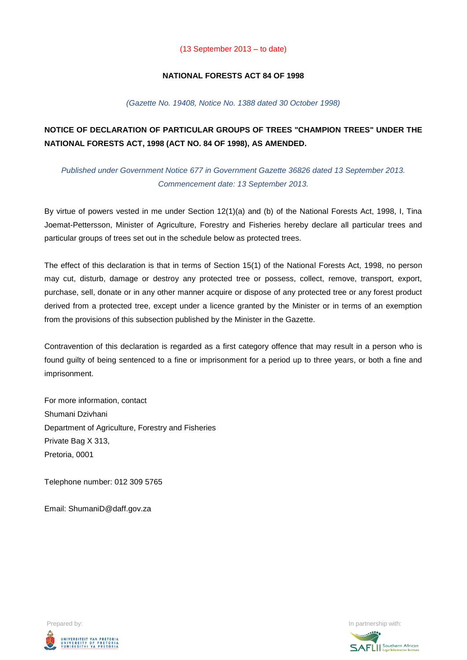### (13 September 2013 – to date)

## **NATIONAL FORESTS ACT 84 OF 1998**

### *(Gazette No. 19408, Notice No. 1388 dated 30 October 1998)*

# **NOTICE OF DECLARATION OF PARTICULAR GROUPS OF TREES "CHAMPION TREES" UNDER THE NATIONAL FORESTS ACT, 1998 (ACT NO. 84 OF 1998), AS AMENDED.**

*Published under Government Notice 677 in Government Gazette 36826 dated 13 September 2013. Commencement date: 13 September 2013.*

By virtue of powers vested in me under Section 12(1)(a) and (b) of the National Forests Act, 1998, I, Tina Joemat-Pettersson, Minister of Agriculture, Forestry and Fisheries hereby declare all particular trees and particular groups of trees set out in the schedule below as protected trees.

The effect of this declaration is that in terms of Section 15(1) of the National Forests Act, 1998, no person may cut, disturb, damage or destroy any protected tree or possess, collect, remove, transport, export, purchase, sell, donate or in any other manner acquire or dispose of any protected tree or any forest product derived from a protected tree, except under a licence granted by the Minister or in terms of an exemption from the provisions of this subsection published by the Minister in the Gazette.

Contravention of this declaration is regarded as a first category offence that may result in a person who is found guilty of being sentenced to a fine or imprisonment for a period up to three years, or both a fine and imprisonment.

For more information, contact Shumani Dzivhani Department of Agriculture, Forestry and Fisheries Private Bag X 313, Pretoria, 0001

Telephone number: 012 309 5765

Email: ShumaniD@daff.gov.za



Prepared by: In partnership with:  $\blacksquare$ 

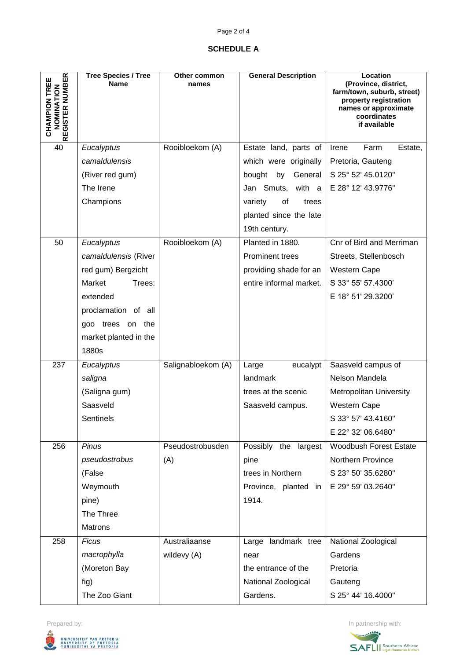# Page 2 of 4

## **SCHEDULE A**

|                                         | <b>Tree Species / Tree</b> | Other common       | <b>General Description</b> | Location                                           |
|-----------------------------------------|----------------------------|--------------------|----------------------------|----------------------------------------------------|
|                                         | <b>Name</b>                | names              |                            | (Province, district,<br>farm/town, suburb, street) |
| NOMINATION                              |                            |                    |                            | property registration<br>names or approximate      |
|                                         |                            |                    |                            | coordinates                                        |
| REGISTER NUMBER<br><b>CHAMPION TREE</b> |                            |                    |                            | if available                                       |
| 40                                      | Eucalyptus                 | Rooibloekom (A)    | Estate land, parts of      | Farm<br>Estate,<br>Irene                           |
|                                         | camaldulensis              |                    | which were originally      | Pretoria, Gauteng                                  |
|                                         | (River red gum)            |                    | bought by General          | S 25° 52' 45.0120"                                 |
|                                         | The Irene                  |                    | Jan Smuts, with a          | E 28° 12' 43.9776"                                 |
|                                         | Champions                  |                    | of<br>variety<br>trees     |                                                    |
|                                         |                            |                    | planted since the late     |                                                    |
|                                         |                            |                    | 19th century.              |                                                    |
| 50                                      | Eucalyptus                 | Rooibloekom (A)    | Planted in 1880.           | Cnr of Bird and Merriman                           |
|                                         | camaldulensis (River       |                    | <b>Prominent trees</b>     | Streets, Stellenbosch                              |
|                                         | red gum) Bergzicht         |                    | providing shade for an     | <b>Western Cape</b>                                |
|                                         | Market<br>Trees:           |                    | entire informal market.    | S 33° 55' 57.4300'                                 |
|                                         | extended                   |                    |                            | E 18° 51' 29.3200'                                 |
|                                         | proclamation of all        |                    |                            |                                                    |
|                                         | goo trees on the           |                    |                            |                                                    |
|                                         | market planted in the      |                    |                            |                                                    |
|                                         | 1880s                      |                    |                            |                                                    |
| 237                                     | Eucalyptus                 | Salignabloekom (A) | Large<br>eucalypt          | Saasveld campus of                                 |
|                                         | saligna                    |                    | landmark                   | Nelson Mandela                                     |
|                                         | (Saligna gum)              |                    | trees at the scenic        | <b>Metropolitan University</b>                     |
|                                         | Saasveld                   |                    | Saasveld campus.           | Western Cape                                       |
|                                         | Sentinels                  |                    |                            | S 33° 57' 43.4160"                                 |
|                                         |                            |                    |                            | E 22° 32' 06.6480"                                 |
| 256                                     | Pinus                      | Pseudostrobusden   | Possibly the largest       | <b>Woodbush Forest Estate</b>                      |
|                                         | pseudostrobus              | (A)                | pine                       | Northern Province                                  |
|                                         | (False                     |                    | trees in Northern          | S 23° 50' 35.6280"                                 |
|                                         | Weymouth                   |                    | Province, planted in       | E 29° 59' 03.2640"                                 |
|                                         | pine)                      |                    | 1914.                      |                                                    |
|                                         | The Three                  |                    |                            |                                                    |
|                                         | <b>Matrons</b>             |                    |                            |                                                    |
| 258                                     | <b>Ficus</b>               | Australiaanse      | Large landmark tree        | National Zoological                                |
|                                         | macrophylla                | wildevy (A)        | near                       | Gardens                                            |
|                                         | (Moreton Bay               |                    | the entrance of the        | Pretoria                                           |
|                                         | fig)                       |                    | National Zoological        | Gauteng                                            |
|                                         | The Zoo Giant              |                    | Gardens.                   | S 25° 44' 16.4000"                                 |



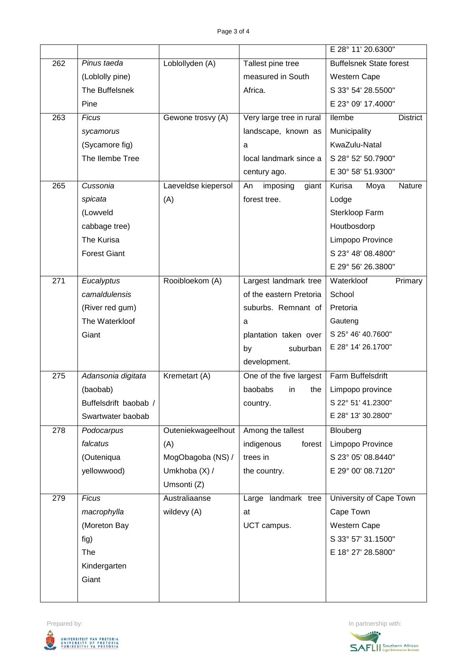|     |                       |                     |                          | E 28° 11' 20.6300"             |
|-----|-----------------------|---------------------|--------------------------|--------------------------------|
| 262 | Pinus taeda           | Loblollyden (A)     | Tallest pine tree        | <b>Buffelsnek State forest</b> |
|     | (Loblolly pine)       |                     | measured in South        | Western Cape                   |
|     | The Buffelsnek        |                     | Africa.                  | S 33° 54' 28.5500"             |
|     | Pine                  |                     |                          | E 23° 09' 17.4000"             |
| 263 | <b>Ficus</b>          | Gewone trosvy (A)   | Very large tree in rural | llembe<br><b>District</b>      |
|     | sycamorus             |                     | landscape, known as      | Municipality                   |
|     | (Sycamore fig)        |                     | a                        | KwaZulu-Natal                  |
|     | The Ilembe Tree       |                     | local landmark since a   | S 28° 52' 50.7900"             |
|     |                       |                     | century ago.             | E 30° 58' 51.9300"             |
| 265 | Cussonia              | Laeveldse kiepersol | imposing<br>giant<br>An  | Kurisa<br>Moya<br>Nature       |
|     | spicata               | (A)                 | forest tree.             | Lodge                          |
|     | (Lowveld              |                     |                          | Sterkloop Farm                 |
|     | cabbage tree)         |                     |                          | Houtbosdorp                    |
|     | The Kurisa            |                     |                          | Limpopo Province               |
|     | <b>Forest Giant</b>   |                     |                          | S 23° 48' 08.4800"             |
|     |                       |                     |                          | E 29° 56' 26.3800"             |
| 271 | Eucalyptus            | Rooibloekom (A)     | Largest landmark tree    | Waterkloof<br>Primary          |
|     | camaldulensis         |                     | of the eastern Pretoria  | School                         |
|     | (River red gum)       |                     | suburbs. Remnant of      | Pretoria                       |
|     | The Waterkloof        |                     | a                        | Gauteng                        |
|     | Giant                 |                     | plantation taken over    | S 25° 46' 40.7600"             |
|     |                       |                     | by<br>suburban           | E 28° 14' 26.1700"             |
|     |                       |                     | development.             |                                |
| 275 | Adansonia digitata    | Kremetart (A)       | One of the five largest  | Farm Buffelsdrift              |
|     | (baobab)              |                     | baobabs<br>in<br>the     | Limpopo province               |
|     | Buffelsdrift baobab / |                     | country.                 | S 22° 51' 41.2300"             |
|     | Swartwater baobab     |                     |                          | E 28° 13' 30.2800"             |
| 278 | Podocarpus            | Outeniekwageelhout  | Among the tallest        | Blouberg                       |
|     | falcatus              | (A)                 | indigenous<br>forest     | Limpopo Province               |
|     | (Outeniqua            | MogObagoba (NS) /   | trees in                 | S 23° 05' 08.8440"             |
|     | yellowwood)           | Umkhoba (X) /       | the country.             | E 29° 00' 08.7120"             |
|     |                       | Umsonti (Z)         |                          |                                |
| 279 | <b>Ficus</b>          | Australiaanse       | Large landmark tree      | University of Cape Town        |
|     | macrophylla           | wildevy (A)         | at                       | Cape Town                      |
|     | (Moreton Bay          |                     | UCT campus.              | Western Cape                   |
|     | fig)                  |                     |                          | S 33° 57' 31.1500"             |
|     | The                   |                     |                          | E 18° 27' 28.5800"             |
|     | Kindergarten          |                     |                          |                                |
|     | Giant                 |                     |                          |                                |
|     |                       |                     |                          |                                |



**SAFLI** Southern African